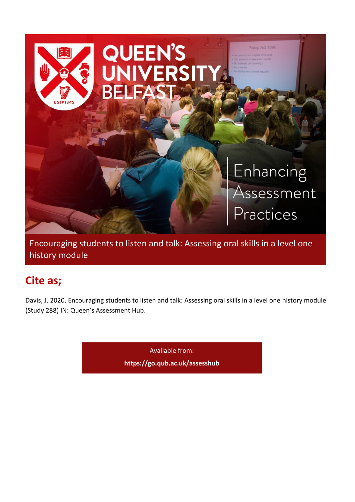

Encouraging students to listen and talk: Assessing oral skills in a level one history module

# **Cite as;**

Davis, J. 2020. Encouraging students to listen and talk: Assessing oral skills in a level one history module (Study 288) IN: Queen's Assessment Hub.

Available from:

**<https://go.qub.ac.uk/assesshub>**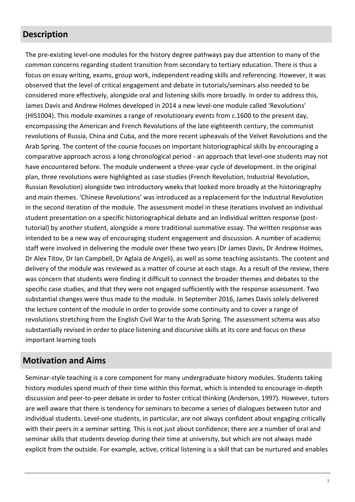#### **Description**

The pre-existing level-one modules for the history degree pathways pay due attention to many of the common concerns regarding student transition from secondary to tertiary education. There is thus a focus on essay writing, exams, group work, independent reading skills and referencing. However, it was observed that the level of critical engagement and debate in tutorials/seminars also needed to be considered more effectively, alongside oral and listening skills more broadly. In order to address this, James Davis and Andrew Holmes developed in 2014 a new level-one module called 'Revolutions' (HIS1004). This module examines a range of revolutionary events from c.1600 to the present day, encompassing the American and French Revolutions of the late eighteenth century, the communist revolutions of Russia, China and Cuba, and the more recent upheavals of the Velvet Revolutions and the Arab Spring. The content of the course focuses on important historiographical skills by encouraging a comparative approach across a long chronological period - an approach that level-one students may not have encountered before. The module underwent a three-year cycle of development. In the original plan, three revolutions were highlighted as case studies (French Revolution, Industrial Revolution, Russian Revolution) alongside two introductory weeks that looked more broadly at the historiography and main themes. 'Chinese Revolutions' was introduced as a replacement for the Industrial Revolution in the second iteration of the module. The assessment model in these iterations involved an individual student presentation on a specific historiographical debate and an individual written response (posttutorial) by another student, alongside a more traditional summative essay. The written response was intended to be a new way of encouraging student engagement and discussion. A number of academic staff were involved in delivering the module over these two years (Dr James Davis, Dr Andrew Holmes, Dr Alex Titov, Dr Ian Campbell, Dr Aglaia de Angeli), as well as some teaching assistants. The content and delivery of the module was reviewed as a matter of course at each stage. As a result of the review, there was concern that students were finding it difficult to connect the broader themes and debates to the specific case studies, and that they were not engaged sufficiently with the response assessment. Two substantial changes were thus made to the module. In September 2016, James Davis solely delivered the lecture content of the module in order to provide some continuity and to cover a range of revolutions stretching from the English Civil War to the Arab Spring. The assessment schema was also substantially revised in order to place listening and discursive skills at its core and focus on these important learning tools

#### **Motivation and Aims**

Seminar-style teaching is a core component for many undergraduate history modules. Students taking history modules spend much of their time within this format, which is intended to encourage in-depth discussion and peer-to-peer debate in order to foster critical thinking (Anderson, 1997). However, tutors are well aware that there is tendency for seminars to become a series of dialogues between tutor and individual students. Level-one students, in particular, are not always confident about engaging critically with their peers in a seminar setting. This is not just about confidence; there are a number of oral and seminar skills that students develop during their time at university, but which are not always made explicit from the outside. For example, active, critical listening is a skill that can be nurtured and enables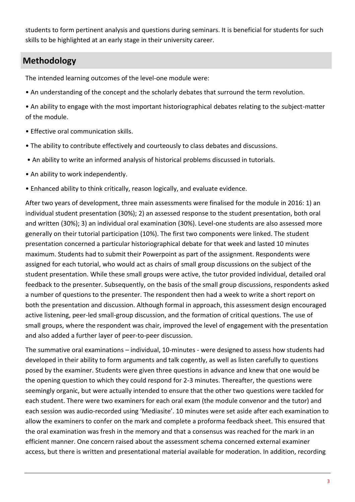students to form pertinent analysis and questions during seminars. It is beneficial for students for such skills to be highlighted at an early stage in their university career.

## **Methodology**

The intended learning outcomes of the level-one module were:

- An understanding of the concept and the scholarly debates that surround the term revolution.
- An ability to engage with the most important historiographical debates relating to the subject-matter of the module.
- Effective oral communication skills.
- The ability to contribute effectively and courteously to class debates and discussions.
- An ability to write an informed analysis of historical problems discussed in tutorials.
- An ability to work independently.
- Enhanced ability to think critically, reason logically, and evaluate evidence.

After two years of development, three main assessments were finalised for the module in 2016: 1) an individual student presentation (30%); 2) an assessed response to the student presentation, both oral and written (30%); 3) an individual oral examination (30%). Level-one students are also assessed more generally on their tutorial participation (10%). The first two components were linked. The student presentation concerned a particular historiographical debate for that week and lasted 10 minutes maximum. Students had to submit their Powerpoint as part of the assignment. Respondents were assigned for each tutorial, who would act as chairs of small group discussions on the subject of the student presentation. While these small groups were active, the tutor provided individual, detailed oral feedback to the presenter. Subsequently, on the basis of the small group discussions, respondents asked a number of questions to the presenter. The respondent then had a week to write a short report on both the presentation and discussion. Although formal in approach, this assessment design encouraged active listening, peer-led small-group discussion, and the formation of critical questions. The use of small groups, where the respondent was chair, improved the level of engagement with the presentation and also added a further layer of peer-to-peer discussion.

The summative oral examinations – individual, 10-minutes - were designed to assess how students had developed in their ability to form arguments and talk cogently, as well as listen carefully to questions posed by the examiner. Students were given three questions in advance and knew that one would be the opening question to which they could respond for 2-3 minutes. Thereafter, the questions were seemingly organic, but were actually intended to ensure that the other two questions were tackled for each student. There were two examiners for each oral exam (the module convenor and the tutor) and each session was audio-recorded using 'Mediasite'. 10 minutes were set aside after each examination to allow the examiners to confer on the mark and complete a proforma feedback sheet. This ensured that the oral examination was fresh in the memory and that a consensus was reached for the mark in an efficient manner. One concern raised about the assessment schema concerned external examiner access, but there is written and presentational material available for moderation. In addition, recording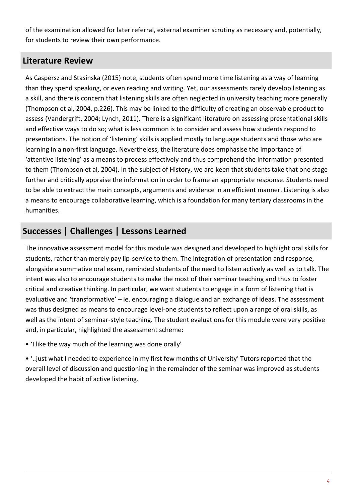of the examination allowed for later referral, external examiner scrutiny as necessary and, potentially, for students to review their own performance.

#### **Literature Review**

As Caspersz and Stasinska (2015) note, students often spend more time listening as a way of learning than they spend speaking, or even reading and writing. Yet, our assessments rarely develop listening as a skill, and there is concern that listening skills are often neglected in university teaching more generally (Thompson et al, 2004, p.226). This may be linked to the difficulty of creating an observable product to assess (Vandergrift, 2004; Lynch, 2011). There is a significant literature on assessing presentational skills and effective ways to do so; what is less common is to consider and assess how students respond to presentations. The notion of 'listening' skills is applied mostly to language students and those who are learning in a non-first language. Nevertheless, the literature does emphasise the importance of 'attentive listening' as a means to process effectively and thus comprehend the information presented to them (Thompson et al, 2004). In the subject of History, we are keen that students take that one stage further and critically appraise the information in order to frame an appropriate response. Students need to be able to extract the main concepts, arguments and evidence in an efficient manner. Listening is also a means to encourage collaborative learning, which is a foundation for many tertiary classrooms in the humanities.

### **Successes | Challenges | Lessons Learned**

The innovative assessment model for this module was designed and developed to highlight oral skills for students, rather than merely pay lip-service to them. The integration of presentation and response, alongside a summative oral exam, reminded students of the need to listen actively as well as to talk. The intent was also to encourage students to make the most of their seminar teaching and thus to foster critical and creative thinking. In particular, we want students to engage in a form of listening that is evaluative and 'transformative' – ie. encouraging a dialogue and an exchange of ideas. The assessment was thus designed as means to encourage level-one students to reflect upon a range of oral skills, as well as the intent of seminar-style teaching. The student evaluations for this module were very positive and, in particular, highlighted the assessment scheme:

• 'I like the way much of the learning was done orally'

• '..just what I needed to experience in my first few months of University' Tutors reported that the overall level of discussion and questioning in the remainder of the seminar was improved as students developed the habit of active listening.